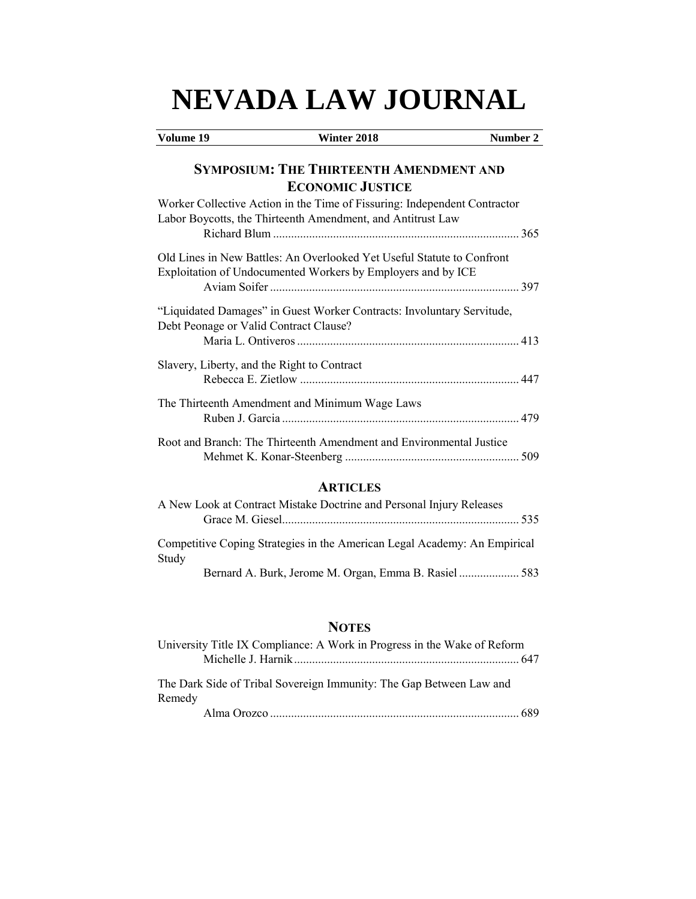# **NEVADA LAW JOURNAL**

| Volume 19                                                                                                                                | Winter 2018                                                               | Number 2 |
|------------------------------------------------------------------------------------------------------------------------------------------|---------------------------------------------------------------------------|----------|
|                                                                                                                                          | <b>SYMPOSIUM: THE THIRTEENTH AMENDMENT AND</b><br><b>ECONOMIC JUSTICE</b> |          |
| Worker Collective Action in the Time of Fissuring: Independent Contractor<br>Labor Boycotts, the Thirteenth Amendment, and Antitrust Law |                                                                           |          |
| Old Lines in New Battles: An Overlooked Yet Useful Statute to Confront<br>Exploitation of Undocumented Workers by Employers and by ICE   |                                                                           |          |
| "Liquidated Damages" in Guest Worker Contracts: Involuntary Servitude,<br>Debt Peonage or Valid Contract Clause?                         |                                                                           |          |
| Slavery, Liberty, and the Right to Contract                                                                                              |                                                                           |          |
| The Thirteenth Amendment and Minimum Wage Laws                                                                                           |                                                                           |          |
| Root and Branch: The Thirteenth Amendment and Environmental Justice                                                                      |                                                                           |          |

# **ARTICLES**

|       | A New Look at Contract Mistake Doctrine and Personal Injury Releases |                                                                           |
|-------|----------------------------------------------------------------------|---------------------------------------------------------------------------|
|       |                                                                      |                                                                           |
| Study |                                                                      | Competitive Coping Strategies in the American Legal Academy: An Empirical |
|       |                                                                      | Bernard A. Burk, Jerome M. Organ, Emma B. Rasiel 583                      |

# **NOTES**

| University Title IX Compliance: A Work in Progress in the Wake of Reform      |  |
|-------------------------------------------------------------------------------|--|
|                                                                               |  |
| The Dark Side of Tribal Sovereign Immunity: The Gap Between Law and<br>Remedy |  |
|                                                                               |  |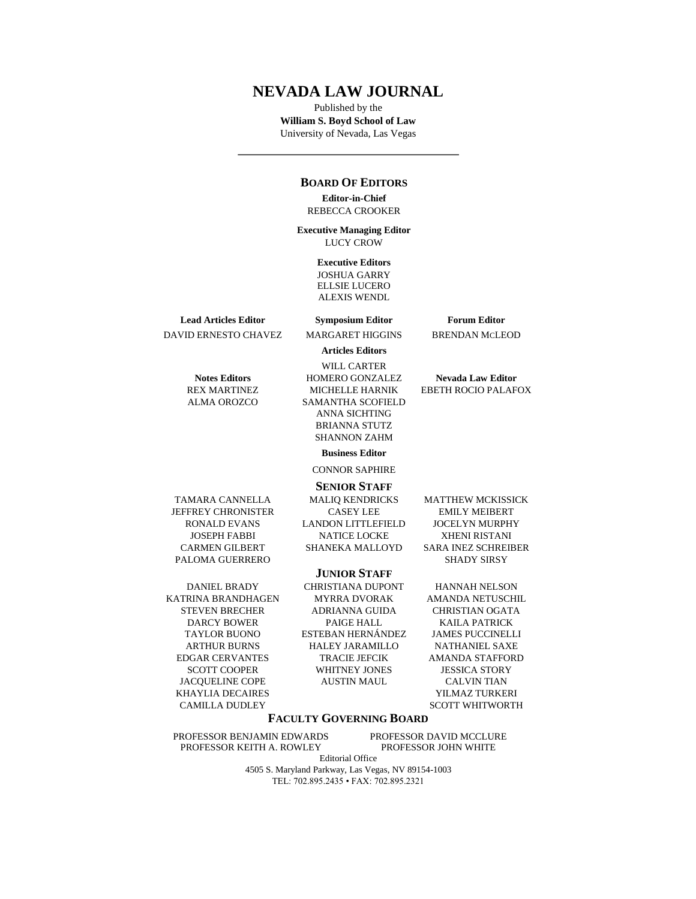## **NEVADA LAW JOURNAL**

Published by the **William S. Boyd School of Law**  University of Nevada, Las Vegas

## **BOARD OF EDITORS**

**Editor-in-Chief** REBECCA CROOKER

**Executive Managing Editor**  LUCY CROW

#### **Executive Editors**

JOSHUA GARRY ELLSIE LUCERO ALEXIS WENDL

**Lead Articles Editor Symposium Editor Forum Editor** DAVID ERNESTO CHAVEZ MARGARET HIGGINS BRENDAN MCLEOD

**Articles Editors**

WILL CARTER **Notes Editors HOMERO GONZALEZ Nevada Law Editor** REX MARTINEZ MICHELLE HARNIK EBETH ROCIO PALAFOX ALMA OROZCO SAMANTHA SCOFIELD ANNA SICHTING BRIANNA STUTZ SHANNON ZAHM

**Business Editor**

CONNOR SAPHIRE

#### **SENIOR STAFF**

KHAYLIA DECAIRES YILMAZ TURKERI

TAMARA CANNELLA MALIQ KENDRICKS MATTHEW MCKISSICK

CAMILLA DUDLEY SCOTT WHITWORTH

## **FACULTY GOVERNING BOARD**

PROFESSOR BENJAMIN EDWARDS PROFESSOR DAVID MCCLURE PROFESSOR KEITH A. ROWLEY PROFESSOR JOHN WHITE

Editorial Office 4505 S. Maryland Parkway, Las Vegas, NV 89154-1003 TEL: 702.895.2435 • FAX: 702.895.2321

JEFFREY CHRONISTER CASEY LEE EMILY MEIBERT RONALD EVANS LANDON LITTLEFIELD JOCELYN MURPHY JOSEPH FABBI NATICE LOCKE XHENI RISTANI CARMEN GILBERT SHANEKA MALLOYD SARA INEZ SCHREIBER PALOMA GUERRERO SHADY SIRSY **JUNIOR STAFF**

DANIEL BRADY CHRISTIANA DUPONT HANNAH NELSON KATRINA BRANDHAGEN MYRRA DVORAK AMANDA NETUSCHIL STEVEN BRECHER ADRIANNA GUIDA CHRISTIAN OGATA DARCY BOWER PAIGE HALL KAILA PATRICK TAYLOR BUONO ESTEBAN HERNÁNDEZ JAMES PUCCINELLI ARTHUR BURNS HALEY JARAMILLO NATHANIEL SAXE EDGAR CERVANTES TRACIE JEFCIK AMANDA STAFFORD SCOTT COOPER WHITNEY JONES JESSICA STORY JACQUELINE COPE AUSTIN MAUL CALVIN TIAN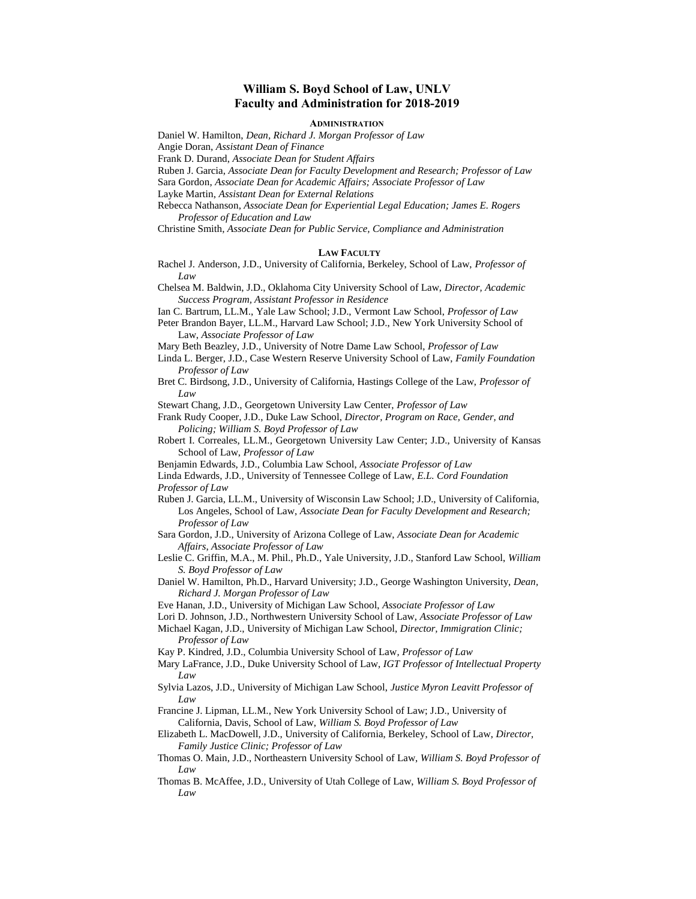## **William S. Boyd School of Law, UNLV Faculty and Administration for 2018-2019**

#### **ADMINISTRATION**

Daniel W. Hamilton, *Dean, Richard J. Morgan Professor of Law*

Angie Doran, *Assistant Dean of Finance*

Frank D. Durand, *Associate Dean for Student Affairs*

Ruben J. Garcia, *Associate Dean for Faculty Development and Research; Professor of Law*

Sara Gordon, *Associate Dean for Academic Affairs; Associate Professor of Law*

Layke Martin, *Assistant Dean for External Relations*

Rebecca Nathanson, *Associate Dean for Experiential Legal Education; James E. Rogers Professor of Education and Law*

Christine Smith, *Associate Dean for Public Service, Compliance and Administration*

#### **LAW FACULTY**

Rachel J. Anderson, J.D., University of California, Berkeley, School of Law, *Professor of Law*

Chelsea M. Baldwin, J.D., Oklahoma City University School of Law, *Director, Academic Success Program, Assistant Professor in Residence*

Ian C. Bartrum, LL.M., Yale Law School; J.D., Vermont Law School, *Professor of Law*

Peter Brandon Bayer, LL.M., Harvard Law School; J.D., New York University School of Law, *Associate Professor of Law*

Mary Beth Beazley, J.D., University of Notre Dame Law School, *Professor of Law*

Linda L. Berger, J.D., Case Western Reserve University School of Law, *Family Foundation Professor of Law*

Bret C. Birdsong, J.D., University of California, Hastings College of the Law, *Professor of Law*

Stewart Chang, J.D., Georgetown University Law Center, *Professor of Law*

Frank Rudy Cooper, J.D., Duke Law School, *Director, Program on Race, Gender, and Policing; William S. Boyd Professor of Law*

- Robert I. Correales, LL.M., Georgetown University Law Center; J.D., University of Kansas School of Law, *Professor of Law*
- Benjamin Edwards, J.D., Columbia Law School, *Associate Professor of Law*
- Linda Edwards, J.D., University of Tennessee College of Law, *E.L. Cord Foundation Professor of Law*
- Ruben J. Garcia, LL.M., University of Wisconsin Law School; J.D., University of California, Los Angeles, School of Law, *Associate Dean for Faculty Development and Research; Professor of Law*
- Sara Gordon, J.D., University of Arizona College of Law, *Associate Dean for Academic Affairs*, *Associate Professor of Law*
- Leslie C. Griffin, M.A., M. Phil., Ph.D., Yale University, J.D., Stanford Law School, *William S. Boyd Professor of Law*
- Daniel W. Hamilton, Ph.D., Harvard University; J.D., George Washington University, *Dean, Richard J. Morgan Professor of Law*

Eve Hanan, J.D., University of Michigan Law School, *Associate Professor of Law*

Lori D. Johnson, J.D., Northwestern University School of Law, *Associate Professor of Law*

Michael Kagan, J.D., University of Michigan Law School, *Director, Immigration Clinic; Professor of Law*

Kay P. Kindred, J.D., Columbia University School of Law*, Professor of Law*

- Mary LaFrance, J.D., Duke University School of Law, *IGT Professor of Intellectual Property Law*
- Sylvia Lazos, J.D., University of Michigan Law School, *Justice Myron Leavitt Professor of Law*

Francine J. Lipman, LL.M., New York University School of Law; J.D., University of California, Davis, School of Law, *William S. Boyd Professor of Law*

Elizabeth L. MacDowell, J.D., University of California, Berkeley, School of Law, *Director, Family Justice Clinic; Professor of Law*

- Thomas O. Main, J.D., Northeastern University School of Law, *William S. Boyd Professor of Law*
- Thomas B. McAffee, J.D., University of Utah College of Law, *William S. Boyd Professor of Law*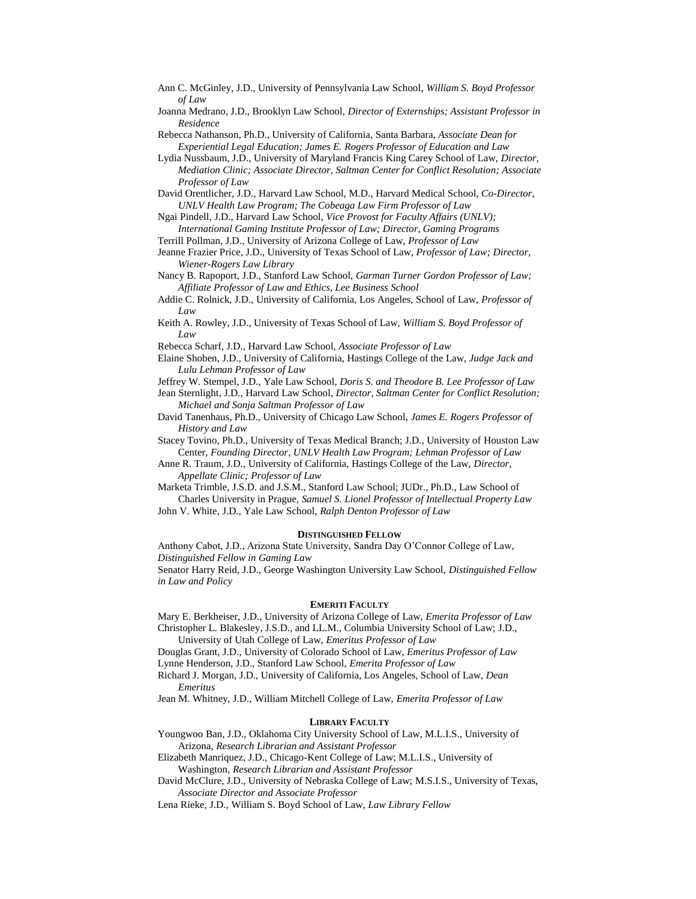- Ann C. McGinley, J.D., University of Pennsylvania Law School, *William S. Boyd Professor of Law*
- Joanna Medrano, J.D., Brooklyn Law School, *Director of Externships; Assistant Professor in Residence*

Rebecca Nathanson, Ph.D., University of California, Santa Barbara, *Associate Dean for Experiential Legal Education; James E. Rogers Professor of Education and Law*

- Lydia Nussbaum, J.D., University of Maryland Francis King Carey School of Law, *Director, Mediation Clinic; Associate Director, Saltman Center for Conflict Resolution; Associate Professor of Law*
- David Orentlicher, J.D., Harvard Law School, M.D., Harvard Medical School, *Co-Director, UNLV Health Law Program; The Cobeaga Law Firm Professor of Law*
- Ngai Pindell, J.D., Harvard Law School, *Vice Provost for Faculty Affairs (UNLV); International Gaming Institute Professor of Law; Director, Gaming Programs*
- Terrill Pollman, J.D., University of Arizona College of Law, *Professor of Law*
- Jeanne Frazier Price, J.D., University of Texas School of Law, *Professor of Law; Director, Wiener-Rogers Law Library*

Nancy B. Rapoport, J.D., Stanford Law School, *Garman Turner Gordon Professor of Law; Affiliate Professor of Law and Ethics, Lee Business School*

Addie C. Rolnick, J.D., University of California, Los Angeles, School of Law, *Professor of Law*

Keith A. Rowley, J.D., University of Texas School of Law, *William S. Boyd Professor of Law*

Rebecca Scharf, J.D., Harvard Law School, *Associate Professor of Law*

Elaine Shoben, J.D., University of California, Hastings College of the Law, *Judge Jack and Lulu Lehman Professor of Law*

Jeffrey W. Stempel, J.D., Yale Law School, *Doris S. and Theodore B. Lee Professor of Law*

Jean Sternlight, J.D., Harvard Law School, *Director, Saltman Center for Conflict Resolution; Michael and Sonja Saltman Professor of Law*

David Tanenhaus, Ph.D., University of Chicago Law School, *James E. Rogers Professor of History and Law*

Stacey Tovino, Ph.D., University of Texas Medical Branch; J.D., University of Houston Law Center, *Founding Director, UNLV Health Law Program; Lehman Professor of Law*

Anne R. Traum, J.D., University of California, Hastings College of the Law, *Director, Appellate Clinic; Professor of Law*

Marketa Trimble, J.S.D. and J.S.M., Stanford Law School; JUDr., Ph.D., Law School of Charles University in Prague, *Samuel S. Lionel Professor of Intellectual Property Law*

John V. White, J.D., Yale Law School, *Ralph Denton Professor of Law*

#### **DISTINGUISHED FELLOW**

Anthony Cabot, J.D., Arizona State University, Sandra Day O'Connor College of Law, *Distinguished Fellow in Gaming Law*

Senator Harry Reid, J.D., George Washington University Law School, *Distinguished Fellow in Law and Policy*

#### **EMERITI FACULTY**

Mary E. Berkheiser, J.D., University of Arizona College of Law, *Emerita Professor of Law* Christopher L. Blakesley, J.S.D., and LL.M., Columbia University School of Law; J.D.,

University of Utah College of Law, *Emeritus Professor of Law*

Douglas Grant, J.D., University of Colorado School of Law, *Emeritus Professor of Law*

Lynne Henderson, J.D., Stanford Law School, *Emerita Professor of Law* 

Richard J. Morgan, J.D., University of California, Los Angeles, School of Law, *Dean Emeritus*

Jean M. Whitney, J.D., William Mitchell College of Law, *Emerita Professor of Law*

#### **LIBRARY FACULTY**

Youngwoo Ban, J.D., Oklahoma City University School of Law, M.L.I.S., University of Arizona, *Research Librarian and Assistant Professor*

Elizabeth Manriquez, J.D., Chicago-Kent College of Law; M.L.I.S., University of Washington, *Research Librarian and Assistant Professor* 

David McClure, J.D., University of Nebraska College of Law; M.S.I.S., University of Texas, *Associate Director and Associate Professor* 

Lena Rieke, J.D., William S. Boyd School of Law, *Law Library Fellow*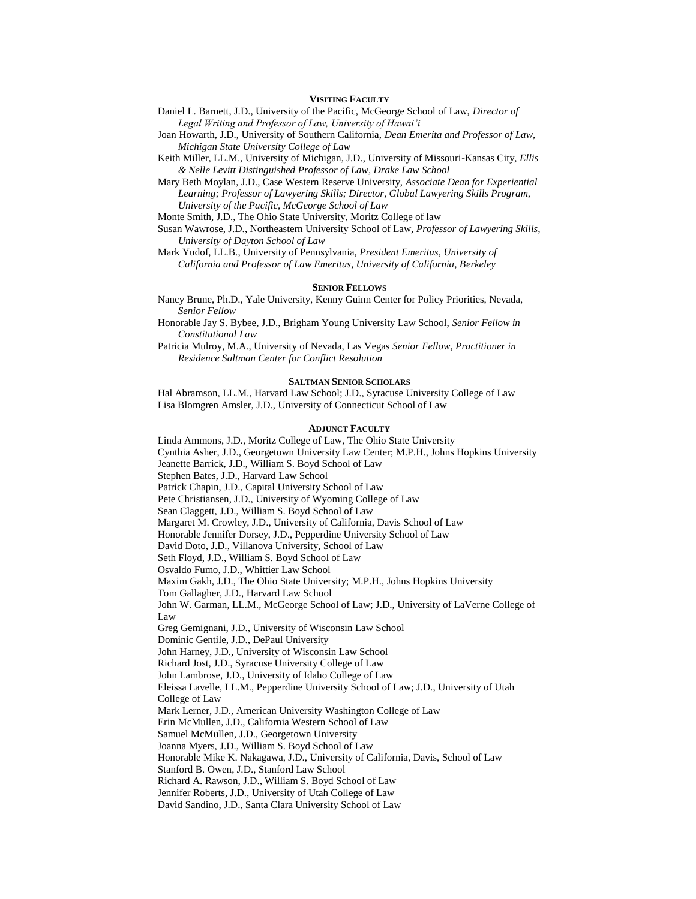#### **VISITING FACULTY**

- Daniel L. Barnett, J.D., University of the Pacific, McGeorge School of Law, *Director of Legal Writing and Professor of Law, University of Hawai'i*
- Joan Howarth, J.D., University of Southern California, *Dean Emerita and Professor of Law, Michigan State University College of Law*
- Keith Miller, LL.M., University of Michigan, J.D., University of Missouri-Kansas City, *Ellis & Nelle Levitt Distinguished Professor of Law, Drake Law School*
- Mary Beth Moylan, J.D., Case Western Reserve University, *Associate Dean for Experiential Learning; Professor of Lawyering Skills; Director, Global Lawyering Skills Program, University of the Pacific, McGeorge School of Law*

Monte Smith, J.D., The Ohio State University, Moritz College of law

Susan Wawrose, J.D., Northeastern University School of Law, *Professor of Lawyering Skills, University of Dayton School of Law*

Mark Yudof, LL.B., University of Pennsylvania, *President Emeritus, University of California and Professor of Law Emeritus, University of California, Berkeley*

#### **SENIOR FELLOWS**

Nancy Brune, Ph.D., Yale University, Kenny Guinn Center for Policy Priorities, Nevada, *Senior Fellow*

Honorable Jay S. Bybee, J.D., Brigham Young University Law School, *Senior Fellow in Constitutional Law*

Patricia Mulroy, M.A., University of Nevada, Las Vegas *Senior Fellow, Practitioner in Residence Saltman Center for Conflict Resolution*

#### **SALTMAN SENIOR SCHOLARS**

Hal Abramson, LL.M., Harvard Law School; J.D., Syracuse University College of Law Lisa Blomgren Amsler, J.D., University of Connecticut School of Law

#### **ADJUNCT FACULTY**

Linda Ammons, J.D., Moritz College of Law, The Ohio State University Cynthia Asher, J.D., Georgetown University Law Center; M.P.H., Johns Hopkins University Jeanette Barrick, J.D., William S. Boyd School of Law Stephen Bates, J.D., Harvard Law School Patrick Chapin, J.D., Capital University School of Law Pete Christiansen, J.D., University of Wyoming College of Law Sean Claggett, J.D., William S. Boyd School of Law Margaret M. Crowley, J.D., University of California, Davis School of Law Honorable Jennifer Dorsey, J.D., Pepperdine University School of Law David Doto, J.D., Villanova University, School of Law Seth Floyd, J.D., William S. Boyd School of Law Osvaldo Fumo, J.D., Whittier Law School Maxim Gakh, J.D., The Ohio State University; M.P.H., Johns Hopkins University Tom Gallagher, J.D., Harvard Law School John W. Garman, LL.M., McGeorge School of Law; J.D., University of LaVerne College of Law Greg Gemignani, J.D., University of Wisconsin Law School Dominic Gentile, J.D., DePaul University John Harney, J.D., University of Wisconsin Law School Richard Jost, J.D., Syracuse University College of Law John Lambrose, J.D., University of Idaho College of Law Eleissa Lavelle, LL.M., Pepperdine University School of Law; J.D., University of Utah College of Law Mark Lerner, J.D., American University Washington College of Law Erin McMullen, J.D., California Western School of Law Samuel McMullen, J.D., Georgetown University Joanna Myers, J.D., William S. Boyd School of Law Honorable Mike K. Nakagawa, J.D., University of California, Davis, School of Law Stanford B. Owen, J.D., Stanford Law School Richard A. Rawson, J.D., William S. Boyd School of Law Jennifer Roberts, J.D., University of Utah College of Law David Sandino, J.D., Santa Clara University School of Law